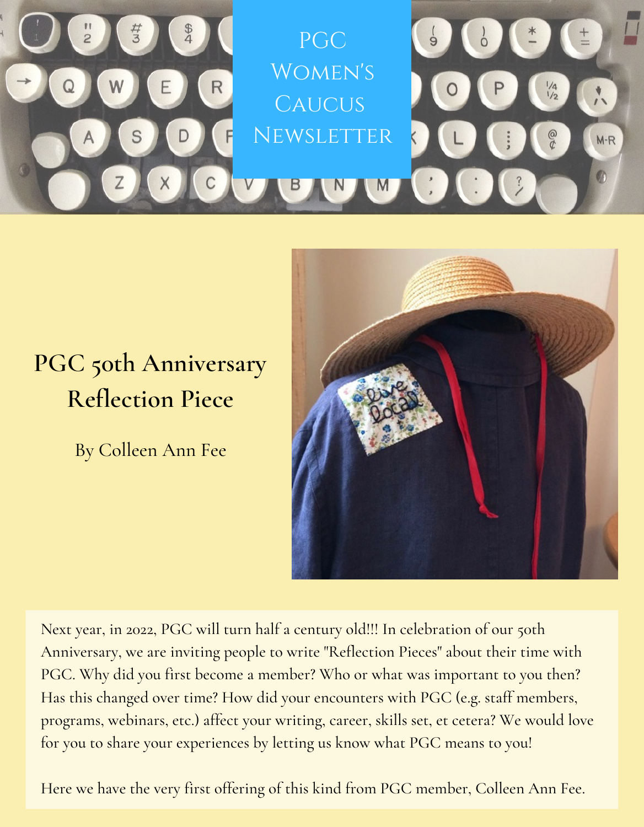

## **PGC 50th Anniversary Reflection Piece**

By Colleen Ann Fee



Next year, in 2022, PGC will turn half a century old!!! In celebration of our 50th Anniversary, we are inviting people to write "Reflection Pieces" about their time with PGC. Why did you first become a member? Who or what was important to you then? Has this changed over time? How did your encounters with PGC (e.g. staff members, programs, webinars, etc.) affect your writing, career, skills set, et cetera? We would love for you to share your experiences by letting us know what PGC means to you!

Here we have the very first offering of this kind from PGC member, Colleen Ann Fee.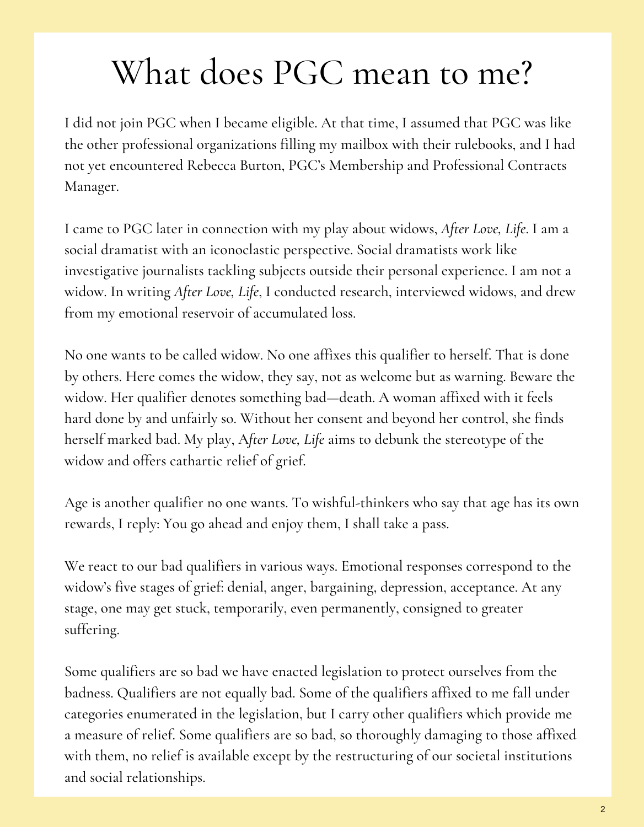## What does PGC mean to me?

I did not join PGC when I became eligible. At that time, I assumed that PGC was like the other professional organizations filling my mailbox with their rulebooks, and I had not yet encountered Rebecca Burton, PGC's Membership and Professional Contracts Manager.

I came to PGC later in connection with my play about widows, *After Love, Life*. I am a social dramatist with an iconoclastic perspective. Social dramatists work like investigative journalists tackling subjects outside their personal experience. I am not a widow. In writing *After Love, Life*, I conducted research, interviewed widows, and drew from my emotional reservoir of accumulated loss.

No one wants to be called widow. No one affixes this qualifier to herself. That is done by others. Here comes the widow, they say, not as welcome but as warning. Beware the widow. Her qualifier denotes something bad—death. A woman affixed with it feels hard done by and unfairly so. Without her consent and beyond her control, she finds herself marked bad. My play, A*fter Love, Life* aims to debunk the stereotype of the widow and offers cathartic relief of grief.

Age is another qualifier no one wants. To wishful-thinkers who say that age has its own rewards, I reply: You go ahead and enjoy them, I shall take a pass.

We react to our bad qualifiers in various ways. Emotional responses correspond to the widow's five stages of grief: denial, anger, bargaining, depression, acceptance. At any stage, one may get stuck, temporarily, even permanently, consigned to greater suffering.

Some qualifiers are so bad we have enacted legislation to protect ourselves from the badness. Qualifiers are not equally bad. Some of the qualifiers affixed to me fall under categories enumerated in the legislation, but I carry other qualifiers which provide me a measure of relief. Some qualifiers are so bad, so thoroughly damaging to those affixed with them, no relief is available except by the restructuring of our societal institutions and social relationships.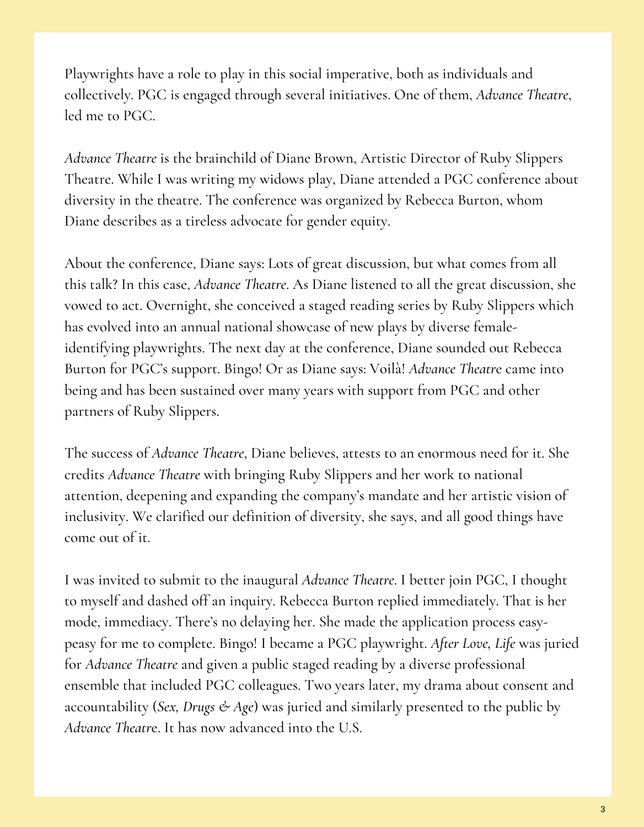Playwrights have a role to play in this social imperative, both as individuals and collectively. PGC is engaged through several initiatives. One of them, *Advance Theatre*, led me to PGC.

*Advance Theatre* is the brainchild of Diane Brown, Artistic Director of Ruby Slippers Theatre. While I was writing my widows play, Diane attended a PGC conference about diversity in the theatre. The conference was organized by Rebecca Burton, whom Diane describes as a tireless advocate for gender equity.

About the conference, Diane says: Lots of great discussion, but what comes from all this talk? In this case, *Advance Theatre*. As Diane listened to all the great discussion, she vowed to act. Overnight, she conceived a staged reading series by Ruby Slippers which has evolved into an annual national showcase of new plays by diverse femaleidentifying playwrights. The next day at the conference, Diane sounded out Rebecca Burton for PGC's support. Bingo! Or as Diane says: Voilà! *Advance Theatr*e came into being and has been sustained over many years with support from PGC and other partners of Ruby Slippers.

The success of *Advance Theatre*, Diane believes, attests to an enormous need for it. She credits *Advance Theatre* with bringing Ruby Slippers and her work to national attention, deepening and expanding the company's mandate and her artistic vision of inclusivity. We clarified our definition of diversity, she says, and all good things have come out of it.

I was invited to submit to the inaugural *Advance Theatre*. I better join PGC, I thought to myself and dashed off an inquiry. Rebecca Burton replied immediately. That is her mode, immediacy. There's no delaying her. She made the application process easypeasy for me to complete. Bingo! I became a PGC playwright. *After Love, Life* was juried for *Advance Theatre* and given a public staged reading by a diverse professional ensemble that included PGC colleagues. Two years later, my drama about consent and accountability (*Sex, Drugs & Age*) was juried and similarly presented to the public by *Advance Theatr*e. It has now advanced into the U.S.